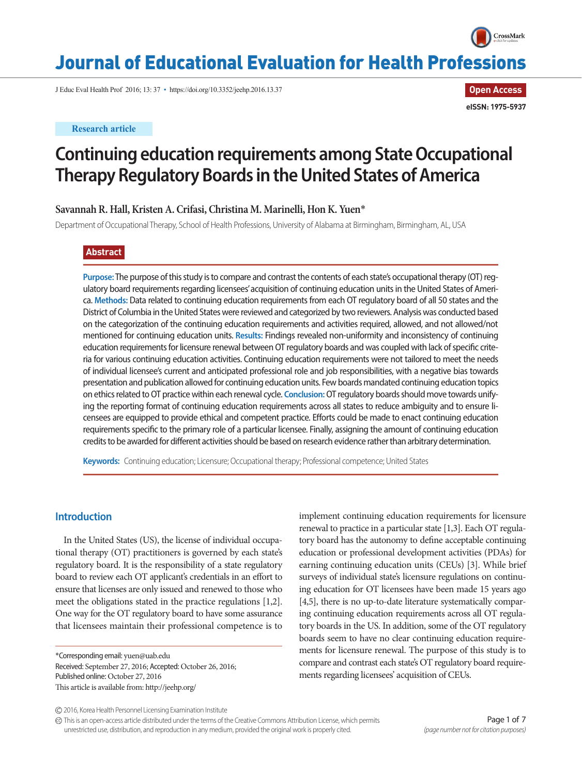

**Open Access**

**eISSN: 1975-5937**

# Journal of Educational Evaluation for Health Professions

J Educ Eval Health Prof 2016; 13: 37 • https://doi.org/10.3352/jeehp.2016.13.37

## **Research article**

# **Continuing education requirements among State Occupational Therapy Regulatory Boards in the United States of America**

# **Savannah R. Hall, Kristen A. Crifasi, Christina M. Marinelli, Hon K. Yuen**\*

Department of Occupational Therapy, School of Health Professions, University of Alabama at Birmingham, Birmingham, AL, USA

# **Abstract**

**Purpose:** The purpose of this study is to compare and contrast the contents of each state's occupational therapy (OT) regulatory board requirements regarding licensees' acquisition of continuing education units in the United States of America. **Methods:** Data related to continuing education requirements from each OT regulatory board of all 50 states and the District of Columbia in the United States were reviewed and categorized by two reviewers. Analysis was conducted based on the categorization of the continuing education requirements and activities required, allowed, and not allowed/not mentioned for continuing education units. **Results:** Findings revealed non-uniformity and inconsistency of continuing education requirements for licensure renewal between OT regulatory boards and was coupled with lack of specific criteria for various continuing education activities. Continuing education requirements were not tailored to meet the needs of individual licensee's current and anticipated professional role and job responsibilities, with a negative bias towards presentation and publication allowed for continuing education units. Few boards mandated continuing education topics on ethics related to OT practice within each renewal cycle. **Conclusion:** OT regulatory boards should move towards unifying the reporting format of continuing education requirements across all states to reduce ambiguity and to ensure licensees are equipped to provide ethical and competent practice. Efforts could be made to enact continuing education requirements specific to the primary role of a particular licensee. Finally, assigning the amount of continuing education credits to be awarded for different activities should be based on research evidence rather than arbitrary determination.

**Keywords:** Continuing education; Licensure; Occupational therapy; Professional competence; United States

# **Introduction**

In the United States (US), the license of individual occupational therapy (OT) practitioners is governed by each state's regulatory board. It is the responsibility of a state regulatory board to review each OT applicant's credentials in an effort to ensure that licenses are only issued and renewed to those who meet the obligations stated in the practice regulations [1,2]. One way for the OT regulatory board to have some assurance that licensees maintain their professional competence is to

\*Corresponding email: yuen@uab.edu Received: September 27, 2016; Accepted: October 26, 2016; Published online: October 27, 2016 This article is available from: http://jeehp.org/

implement continuing education requirements for licensure renewal to practice in a particular state [1,3]. Each OT regulatory board has the autonomy to define acceptable continuing education or professional development activities (PDAs) for earning continuing education units (CEUs) [3]. While brief surveys of individual state's licensure regulations on continuing education for OT licensees have been made 15 years ago [4,5], there is no up-to-date literature systematically comparing continuing education requirements across all OT regulatory boards in the US. In addition, some of the OT regulatory boards seem to have no clear continuing education requirements for licensure renewal. The purpose of this study is to compare and contrast each state's OT regulatory board requirements regarding licensees' acquisition of CEUs.

This is an open-access article distributed under the terms of the Creative Commons Attribution License, which permits unrestricted use, distribution, and reproduction in any medium, provided the original work is properly cited.

<sup>2016,</sup> Korea Health Personnel Licensing Examination Institute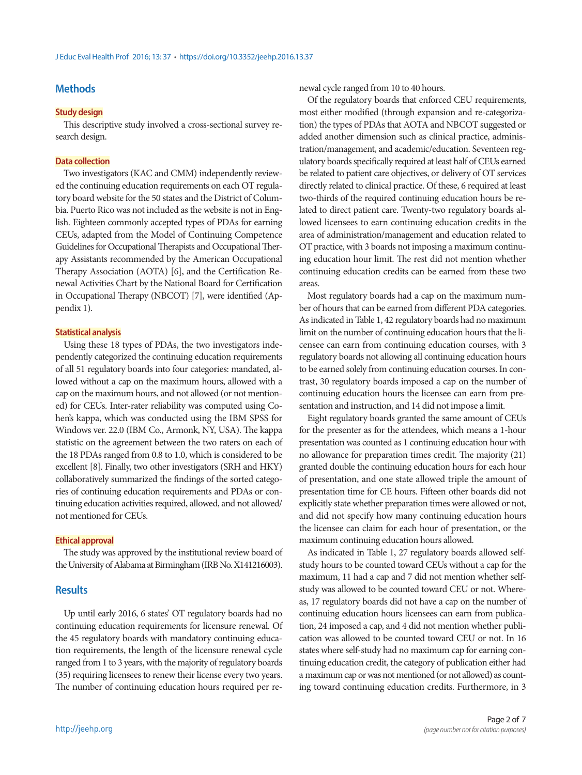# **Methods**

### **Study design**

This descriptive study involved a cross-sectional survey research design.

#### **Data collection**

Two investigators (KAC and CMM) independently reviewed the continuing education requirements on each OT regulatory board website for the 50 states and the District of Columbia. Puerto Rico was not included as the website is not in English. Eighteen commonly accepted types of PDAs for earning CEUs, adapted from the Model of Continuing Competence Guidelines for Occupational Therapists and Occupational Therapy Assistants recommended by the American Occupational Therapy Association (AOTA) [6], and the Certification Renewal Activities Chart by the National Board for Certification in Occupational Therapy (NBCOT) [7], were identified (Appendix 1).

#### **Statistical analysis**

Using these 18 types of PDAs, the two investigators independently categorized the continuing education requirements of all 51 regulatory boards into four categories: mandated, allowed without a cap on the maximum hours, allowed with a cap on the maximum hours, and not allowed (or not mentioned) for CEUs. Inter-rater reliability was computed using Cohen's kappa, which was conducted using the IBM SPSS for Windows ver. 22.0 (IBM Co., Armonk, NY, USA). The kappa statistic on the agreement between the two raters on each of the 18 PDAs ranged from 0.8 to 1.0, which is considered to be excellent [8]. Finally, two other investigators (SRH and HKY) collaboratively summarized the findings of the sorted categories of continuing education requirements and PDAs or continuing education activities required, allowed, and not allowed/ not mentioned for CEUs.

#### **Ethical approval**

The study was approved by the institutional review board of the University of Alabama at Birmingham (IRB No. X141216003).

## **Results**

Up until early 2016, 6 states' OT regulatory boards had no continuing education requirements for licensure renewal. Of the 45 regulatory boards with mandatory continuing education requirements, the length of the licensure renewal cycle ranged from 1 to 3 years, with the majority of regulatory boards (35) requiring licensees to renew their license every two years. The number of continuing education hours required per renewal cycle ranged from 10 to 40 hours.

Of the regulatory boards that enforced CEU requirements, most either modified (through expansion and re-categorization) the types of PDAs that AOTA and NBCOT suggested or added another dimension such as clinical practice, administration/management, and academic/education. Seventeen regulatory boards specifically required at least half of CEUs earned be related to patient care objectives, or delivery of OT services directly related to clinical practice. Of these, 6 required at least two-thirds of the required continuing education hours be related to direct patient care. Twenty-two regulatory boards allowed licensees to earn continuing education credits in the area of administration/management and education related to OT practice, with 3 boards not imposing a maximum continuing education hour limit. The rest did not mention whether continuing education credits can be earned from these two areas.

Most regulatory boards had a cap on the maximum number of hours that can be earned from different PDA categories. As indicated in Table 1, 42 regulatory boards had no maximum limit on the number of continuing education hours that the licensee can earn from continuing education courses, with 3 regulatory boards not allowing all continuing education hours to be earned solely from continuing education courses. In contrast, 30 regulatory boards imposed a cap on the number of continuing education hours the licensee can earn from presentation and instruction, and 14 did not impose a limit.

Eight regulatory boards granted the same amount of CEUs for the presenter as for the attendees, which means a 1-hour presentation was counted as 1 continuing education hour with no allowance for preparation times credit. The majority (21) granted double the continuing education hours for each hour of presentation, and one state allowed triple the amount of presentation time for CE hours. Fifteen other boards did not explicitly state whether preparation times were allowed or not, and did not specify how many continuing education hours the licensee can claim for each hour of presentation, or the maximum continuing education hours allowed.

As indicated in Table 1, 27 regulatory boards allowed selfstudy hours to be counted toward CEUs without a cap for the maximum, 11 had a cap and 7 did not mention whether selfstudy was allowed to be counted toward CEU or not. Whereas, 17 regulatory boards did not have a cap on the number of continuing education hours licensees can earn from publication, 24 imposed a cap, and 4 did not mention whether publication was allowed to be counted toward CEU or not. In 16 states where self-study had no maximum cap for earning continuing education credit, the category of publication either had a maximum cap or was not mentioned (or not allowed) as counting toward continuing education credits. Furthermore, in 3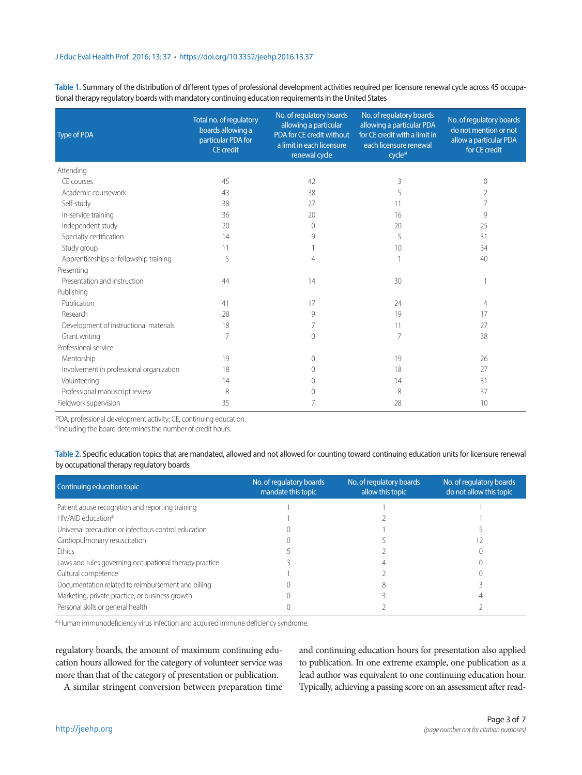**Table 1.** Summary of the distribution of different types of professional development activities required per licensure renewal cycle across 45 occupational therapy regulatory boards with mandatory continuing education requirements in the United States

| <b>Type of PDA</b>                       | Total no. of regulatory<br>boards allowing a<br>particular PDA for<br><b>CE</b> credit | No. of regulatory boards<br>allowing a particular<br>PDA for CE credit without<br>a limit in each licensure<br>renewal cycle | No. of regulatory boards<br>allowing a particular PDA<br>for CE credit with a limit in<br>each licensure renewal<br>cycle <sup>a)</sup> | No. of regulatory boards<br>do not mention or not<br>allow a particular PDA<br>for CE credit |
|------------------------------------------|----------------------------------------------------------------------------------------|------------------------------------------------------------------------------------------------------------------------------|-----------------------------------------------------------------------------------------------------------------------------------------|----------------------------------------------------------------------------------------------|
| Attending                                |                                                                                        |                                                                                                                              |                                                                                                                                         |                                                                                              |
| CE courses                               | 45                                                                                     | 42                                                                                                                           | 3                                                                                                                                       | $\mathbf{0}$                                                                                 |
| Academic coursework                      | 43                                                                                     | 38                                                                                                                           | 5                                                                                                                                       | 2                                                                                            |
| Self-study                               | 38                                                                                     | 27                                                                                                                           | 11                                                                                                                                      | 7                                                                                            |
| In-service training                      | 36                                                                                     | 20                                                                                                                           | 16                                                                                                                                      | 9                                                                                            |
| Independent study                        | 20                                                                                     | $\Omega$                                                                                                                     | 20                                                                                                                                      | 25                                                                                           |
| Specialty certification                  | 14                                                                                     | 9                                                                                                                            | 5                                                                                                                                       | 31                                                                                           |
| Study group                              | 11                                                                                     |                                                                                                                              | 10                                                                                                                                      | 34                                                                                           |
| Apprenticeships or fellowship training   | 5                                                                                      | 4                                                                                                                            |                                                                                                                                         | 40                                                                                           |
| Presenting                               |                                                                                        |                                                                                                                              |                                                                                                                                         |                                                                                              |
| Presentation and instruction             | 44                                                                                     | 14                                                                                                                           | 30                                                                                                                                      |                                                                                              |
| Publishing                               |                                                                                        |                                                                                                                              |                                                                                                                                         |                                                                                              |
| Publication                              | 41                                                                                     | 17                                                                                                                           | 24                                                                                                                                      | 4                                                                                            |
| Research                                 | 28                                                                                     | 9                                                                                                                            | 19                                                                                                                                      | 17                                                                                           |
| Development of instructional materials   | 18                                                                                     |                                                                                                                              | 11                                                                                                                                      | 27                                                                                           |
| Grant writing                            | 7                                                                                      | $\Omega$                                                                                                                     | 7                                                                                                                                       | 38                                                                                           |
| Professional service                     |                                                                                        |                                                                                                                              |                                                                                                                                         |                                                                                              |
| Mentorship                               | 19                                                                                     | $\Omega$                                                                                                                     | 19                                                                                                                                      | 26                                                                                           |
| Involvement in professional organization | 18                                                                                     | 0                                                                                                                            | 18                                                                                                                                      | 27                                                                                           |
| Volunteering                             | 14                                                                                     |                                                                                                                              | 14                                                                                                                                      | 31                                                                                           |
| Professional manuscript review           | 8                                                                                      | Λ                                                                                                                            | 8                                                                                                                                       | 37                                                                                           |
| Fieldwork supervision                    | 35                                                                                     |                                                                                                                              | 28                                                                                                                                      | 10                                                                                           |

PDA, professional development activity; CE, continuing education.

a)Including the board determines the number of credit hours.

**Table 2.** Specific education topics that are mandated, allowed and not allowed for counting toward continuing education units for licensure renewal by occupational therapy regulatory boards

| Continuing education topic                             | No. of regulatory boards<br>mandate this topic | No. of regulatory boards<br>allow this topic | No. of regulatory boards<br>do not allow this topic |
|--------------------------------------------------------|------------------------------------------------|----------------------------------------------|-----------------------------------------------------|
| Patient abuse recognition and reporting training       |                                                |                                              |                                                     |
| $HIV/AlD$ education <sup>a)</sup>                      |                                                |                                              |                                                     |
| Universal precaution or infectious control education   |                                                |                                              |                                                     |
| Cardiopulmonary resuscitation                          |                                                |                                              |                                                     |
| <b>Fthics</b>                                          |                                                |                                              |                                                     |
| Laws and rules governing occupational therapy practice |                                                |                                              |                                                     |
| Cultural competence                                    |                                                |                                              |                                                     |
| Documentation related to reimbursement and billing     |                                                |                                              |                                                     |
| Marketing, private practice, or business growth        |                                                |                                              |                                                     |
| Personal skills or general health                      |                                                |                                              |                                                     |

a)Human immunodeficiency virus infection and acquired immune deficiency syndrome.

regulatory boards, the amount of maximum continuing education hours allowed for the category of volunteer service was more than that of the category of presentation or publication.

A similar stringent conversion between preparation time

and continuing education hours for presentation also applied to publication. In one extreme example, one publication as a lead author was equivalent to one continuing education hour. Typically, achieving a passing score on an assessment after read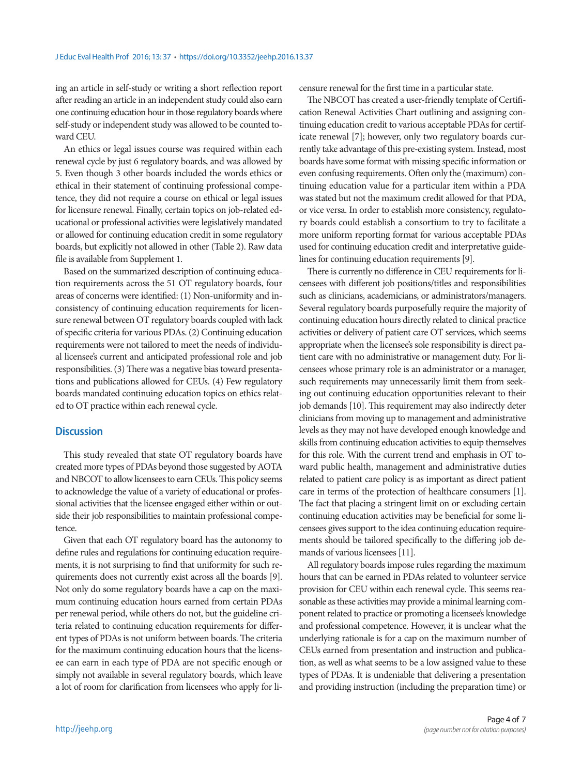ing an article in self-study or writing a short reflection report after reading an article in an independent study could also earn one continuing education hour in those regulatory boards where self-study or independent study was allowed to be counted toward CEU.

An ethics or legal issues course was required within each renewal cycle by just 6 regulatory boards, and was allowed by 5. Even though 3 other boards included the words ethics or ethical in their statement of continuing professional competence, they did not require a course on ethical or legal issues for licensure renewal. Finally, certain topics on job-related educational or professional activities were legislatively mandated or allowed for continuing education credit in some regulatory boards, but explicitly not allowed in other (Table 2). Raw data file is available from Supplement 1.

Based on the summarized description of continuing education requirements across the 51 OT regulatory boards, four areas of concerns were identified: (1) Non-uniformity and inconsistency of continuing education requirements for licensure renewal between OT regulatory boards coupled with lack of specific criteria for various PDAs. (2) Continuing education requirements were not tailored to meet the needs of individual licensee's current and anticipated professional role and job responsibilities. (3) There was a negative bias toward presentations and publications allowed for CEUs. (4) Few regulatory boards mandated continuing education topics on ethics related to OT practice within each renewal cycle.

## **Discussion**

This study revealed that state OT regulatory boards have created more types of PDAs beyond those suggested by AOTA and NBCOT to allow licensees to earn CEUs. This policy seems to acknowledge the value of a variety of educational or professional activities that the licensee engaged either within or outside their job responsibilities to maintain professional competence.

Given that each OT regulatory board has the autonomy to define rules and regulations for continuing education requirements, it is not surprising to find that uniformity for such requirements does not currently exist across all the boards [9]. Not only do some regulatory boards have a cap on the maximum continuing education hours earned from certain PDAs per renewal period, while others do not, but the guideline criteria related to continuing education requirements for different types of PDAs is not uniform between boards. The criteria for the maximum continuing education hours that the licensee can earn in each type of PDA are not specific enough or simply not available in several regulatory boards, which leave a lot of room for clarification from licensees who apply for licensure renewal for the first time in a particular state.

The NBCOT has created a user-friendly template of Certification Renewal Activities Chart outlining and assigning continuing education credit to various acceptable PDAs for certificate renewal [7]; however, only two regulatory boards currently take advantage of this pre-existing system. Instead, most boards have some format with missing specific information or even confusing requirements. Often only the (maximum) continuing education value for a particular item within a PDA was stated but not the maximum credit allowed for that PDA, or vice versa. In order to establish more consistency, regulatory boards could establish a consortium to try to facilitate a more uniform reporting format for various acceptable PDAs used for continuing education credit and interpretative guidelines for continuing education requirements [9].

There is currently no difference in CEU requirements for licensees with different job positions/titles and responsibilities such as clinicians, academicians, or administrators/managers. Several regulatory boards purposefully require the majority of continuing education hours directly related to clinical practice activities or delivery of patient care OT services, which seems appropriate when the licensee's sole responsibility is direct patient care with no administrative or management duty. For licensees whose primary role is an administrator or a manager, such requirements may unnecessarily limit them from seeking out continuing education opportunities relevant to their job demands [10]. This requirement may also indirectly deter clinicians from moving up to management and administrative levels as they may not have developed enough knowledge and skills from continuing education activities to equip themselves for this role. With the current trend and emphasis in OT toward public health, management and administrative duties related to patient care policy is as important as direct patient care in terms of the protection of healthcare consumers [1]. The fact that placing a stringent limit on or excluding certain continuing education activities may be beneficial for some licensees gives support to the idea continuing education requirements should be tailored specifically to the differing job demands of various licensees [11].

All regulatory boards impose rules regarding the maximum hours that can be earned in PDAs related to volunteer service provision for CEU within each renewal cycle. This seems reasonable as these activities may provide a minimal learning component related to practice or promoting a licensee's knowledge and professional competence. However, it is unclear what the underlying rationale is for a cap on the maximum number of CEUs earned from presentation and instruction and publication, as well as what seems to be a low assigned value to these types of PDAs. It is undeniable that delivering a presentation and providing instruction (including the preparation time) or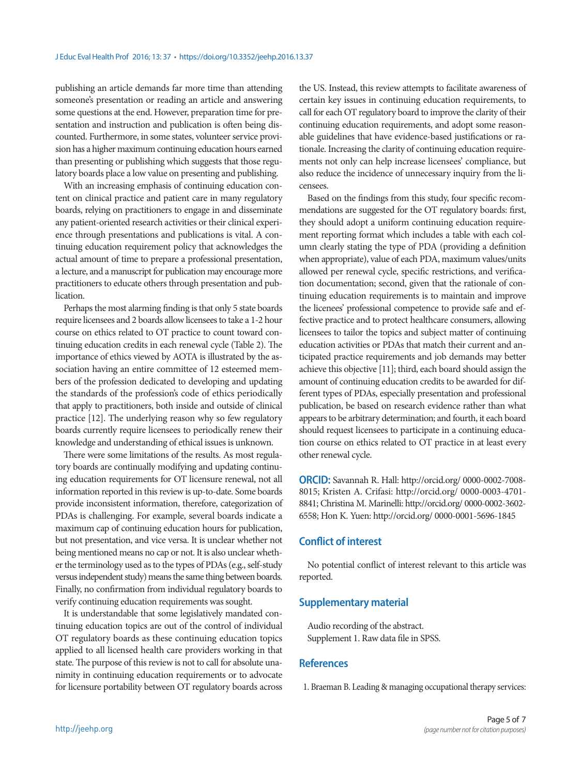publishing an article demands far more time than attending someone's presentation or reading an article and answering some questions at the end. However, preparation time for presentation and instruction and publication is often being discounted. Furthermore, in some states, volunteer service provision has a higher maximum continuing education hours earned than presenting or publishing which suggests that those regulatory boards place a low value on presenting and publishing.

With an increasing emphasis of continuing education content on clinical practice and patient care in many regulatory boards, relying on practitioners to engage in and disseminate any patient-oriented research activities or their clinical experience through presentations and publications is vital. A continuing education requirement policy that acknowledges the actual amount of time to prepare a professional presentation, a lecture, and a manuscript for publication may encourage more practitioners to educate others through presentation and publication.

Perhaps the most alarming finding is that only 5 state boards require licensees and 2 boards allow licensees to take a 1-2 hour course on ethics related to OT practice to count toward continuing education credits in each renewal cycle (Table 2). The importance of ethics viewed by AOTA is illustrated by the association having an entire committee of 12 esteemed members of the profession dedicated to developing and updating the standards of the profession's code of ethics periodically that apply to practitioners, both inside and outside of clinical practice [12]. The underlying reason why so few regulatory boards currently require licensees to periodically renew their knowledge and understanding of ethical issues is unknown.

There were some limitations of the results. As most regulatory boards are continually modifying and updating continuing education requirements for OT licensure renewal, not all information reported in this review is up-to-date. Some boards provide inconsistent information, therefore, categorization of PDAs is challenging. For example, several boards indicate a maximum cap of continuing education hours for publication, but not presentation, and vice versa. It is unclear whether not being mentioned means no cap or not. It is also unclear whether the terminology used as to the types of PDAs (e.g., self-study versus independent study) means the same thing between boards. Finally, no confirmation from individual regulatory boards to verify continuing education requirements was sought.

It is understandable that some legislatively mandated continuing education topics are out of the control of individual OT regulatory boards as these continuing education topics applied to all licensed health care providers working in that state. The purpose of this review is not to call for absolute unanimity in continuing education requirements or to advocate for licensure portability between OT regulatory boards across

the US. Instead, this review attempts to facilitate awareness of certain key issues in continuing education requirements, to call for each OT regulatory board to improve the clarity of their continuing education requirements, and adopt some reasonable guidelines that have evidence-based justifications or rationale. Increasing the clarity of continuing education requirements not only can help increase licensees' compliance, but also reduce the incidence of unnecessary inquiry from the licensees.

Based on the findings from this study, four specific recommendations are suggested for the OT regulatory boards: first, they should adopt a uniform continuing education requirement reporting format which includes a table with each column clearly stating the type of PDA (providing a definition when appropriate), value of each PDA, maximum values/units allowed per renewal cycle, specific restrictions, and verification documentation; second, given that the rationale of continuing education requirements is to maintain and improve the licenees' professional competence to provide safe and effective practice and to protect healthcare consumers, allowing licensees to tailor the topics and subject matter of continuing education activities or PDAs that match their current and anticipated practice requirements and job demands may better achieve this objective [11]; third, each board should assign the amount of continuing education credits to be awarded for different types of PDAs, especially presentation and professional publication, be based on research evidence rather than what appears to be arbitrary determination; and fourth, it each board should request licensees to participate in a continuing education course on ethics related to OT practice in at least every other renewal cycle.

**ORCID:** Savannah R. Hall: http://orcid.org/ 0000-0002-7008- 8015; Kristen A. Crifasi: http://orcid.org/ 0000-0003-4701- 8841; Christina M. Marinelli: http://orcid.org/ 0000-0002-3602- 6558; Hon K. Yuen: http://orcid.org/ 0000-0001-5696-1845

# **Conflict of interest**

No potential conflict of interest relevant to this article was reported.

# **Supplementary material**

Audio recording of the abstract. Supplement 1. Raw data file in SPSS.

## **References**

1. Braeman B. Leading & managing occupational therapy services: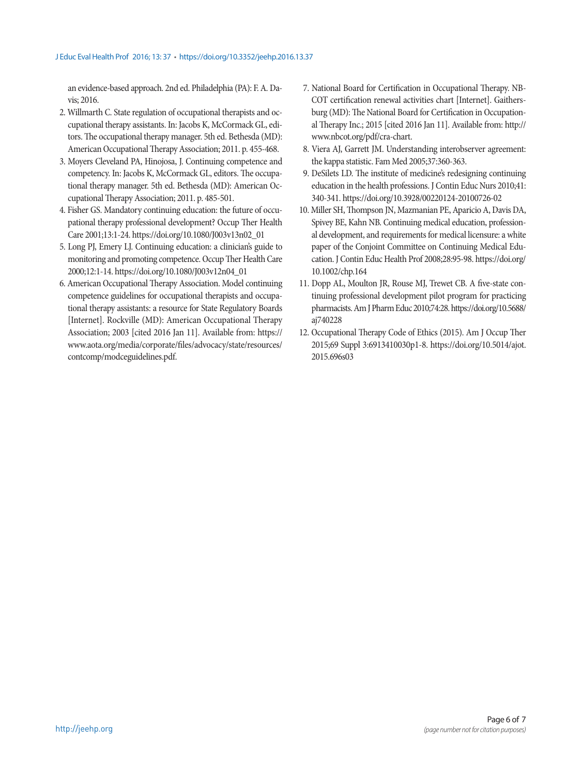an evidence-based approach. 2nd ed. Philadelphia (PA): F. A. Davis; 2016.

- 2. Willmarth C. State regulation of occupational therapists and occupational therapy assistants. In: Jacobs K, McCormack GL, editors. The occupational therapy manager. 5th ed. Bethesda (MD): American Occupational Therapy Association; 2011. p. 455-468.
- 3. Moyers Cleveland PA, Hinojosa, J. Continuing competence and competency. In: Jacobs K, McCormack GL, editors. The occupational therapy manager. 5th ed. Bethesda (MD): American Occupational Therapy Association; 2011. p. 485-501.
- 4. Fisher GS. Mandatory continuing education: the future of occupational therapy professional development? Occup Ther Health Care 2001;13:1-24. https://doi.org/10.1080/J003v13n02\_01
- 5. Long PJ, Emery LJ. Continuing education: a clinician's guide to monitoring and promoting competence. Occup Ther Health Care 2000;12:1-14. https://doi.org/10.1080/J003v12n04\_01
- 6. American Occupational Therapy Association. Model continuing competence guidelines for occupational therapists and occupational therapy assistants: a resource for State Regulatory Boards [Internet]. Rockville (MD): American Occupational Therapy Association; 2003 [cited 2016 Jan 11]. Available from: https:// www.aota.org/media/corporate/files/advocacy/state/resources/ contcomp/modceguidelines.pdf.
- 7. National Board for Certification in Occupational Therapy. NB-COT certification renewal activities chart [Internet]. Gaithersburg (MD): The National Board for Certification in Occupational Therapy Inc.; 2015 [cited 2016 Jan 11]. Available from: http:// www.nbcot.org/pdf/cra-chart.
- 8. Viera AJ, Garrett JM. Understanding interobserver agreement: the kappa statistic. Fam Med 2005;37:360-363.
- 9. DeSilets LD. The institute of medicine's redesigning continuing education in the health professions. J Contin Educ Nurs 2010;41: 340-341. https://doi.org/10.3928/00220124-20100726-02
- 10. Miller SH, Thompson JN, Mazmanian PE, Aparicio A, Davis DA, Spivey BE, Kahn NB. Continuing medical education, professional development, and requirements for medical licensure: a white paper of the Conjoint Committee on Continuing Medical Education. J Contin Educ Health Prof 2008;28:95-98. https://doi.org/ 10.1002/chp.164
- 11. Dopp AL, Moulton JR, Rouse MJ, Trewet CB. A five-state continuing professional development pilot program for practicing pharmacists. Am J Pharm Educ 2010;74:28. https://doi.org/10.5688/ aj740228
- 12. Occupational Therapy Code of Ethics (2015). Am J Occup Ther 2015;69 Suppl 3:6913410030p1-8. https://doi.org/10.5014/ajot. 2015.696s03